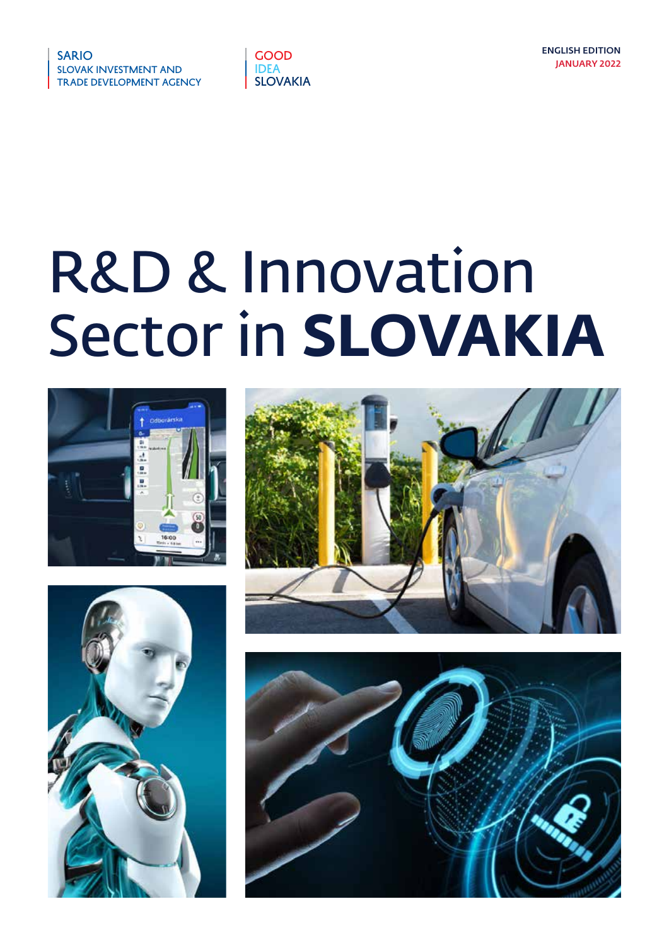

# R&D & Innovation Sector in **SLOVAKIA**







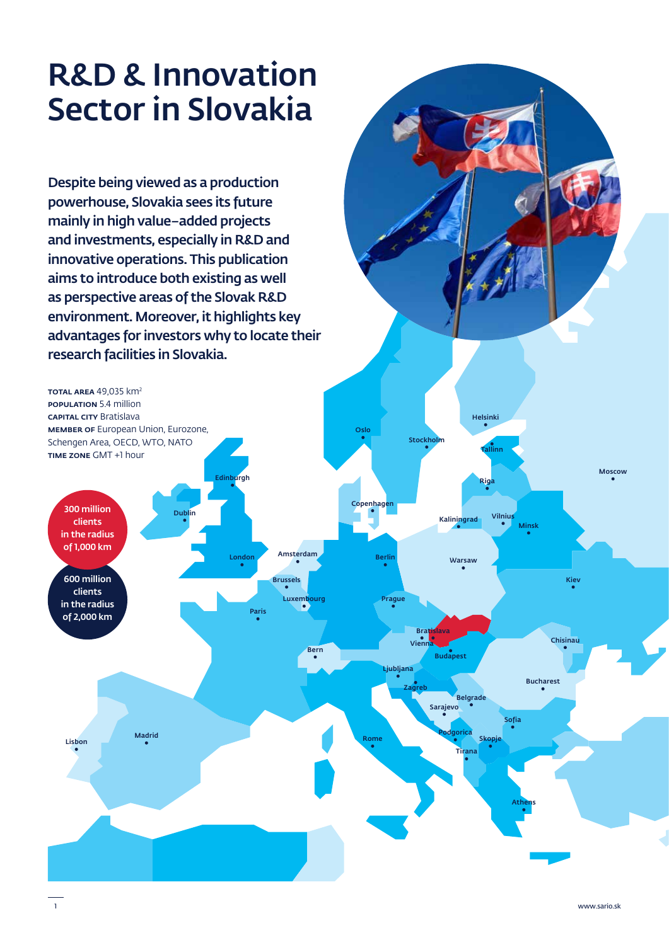# R&D & Innovation Sector in Slovakia

Despite being viewed as a production powerhouse, Slovakia sees its future mainly in high value–added projects and investments, especially in R&D and innovative operations. This publication aims to introduce both existing as well as perspective areas of the Slovak R&D environment. Moreover, it highlights key advantages for investors why to locate their research facilities in Slovakia.

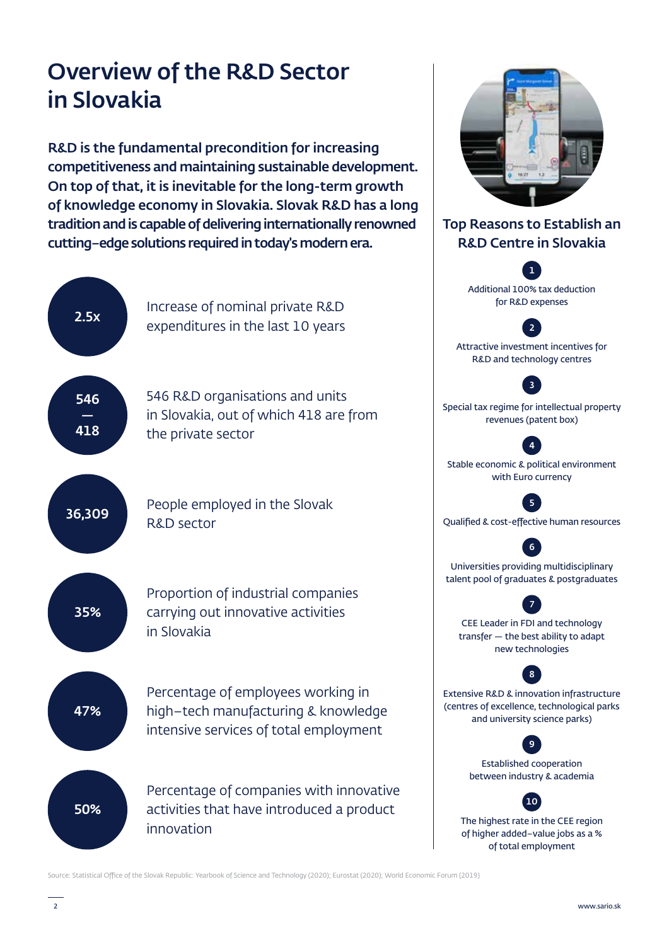# Overview of the R&D Sector in Slovakia

R&D is the fundamental precondition for increasing competitiveness and maintaining sustainable development. On top of that, it is inevitable for the long-term growth of knowledge economy in Slovakia. Slovak R&D has a long tradition and is capable of delivering internationally renowned cutting–edge solutions required in today's modern era.



Source: Statistical Office of the Slovak Republic: Yearbook of Science and Technology (2020); Eurostat (2020); World Economic Forum (2019)

Top Reasons to Establish an R&D Centre in Slovakia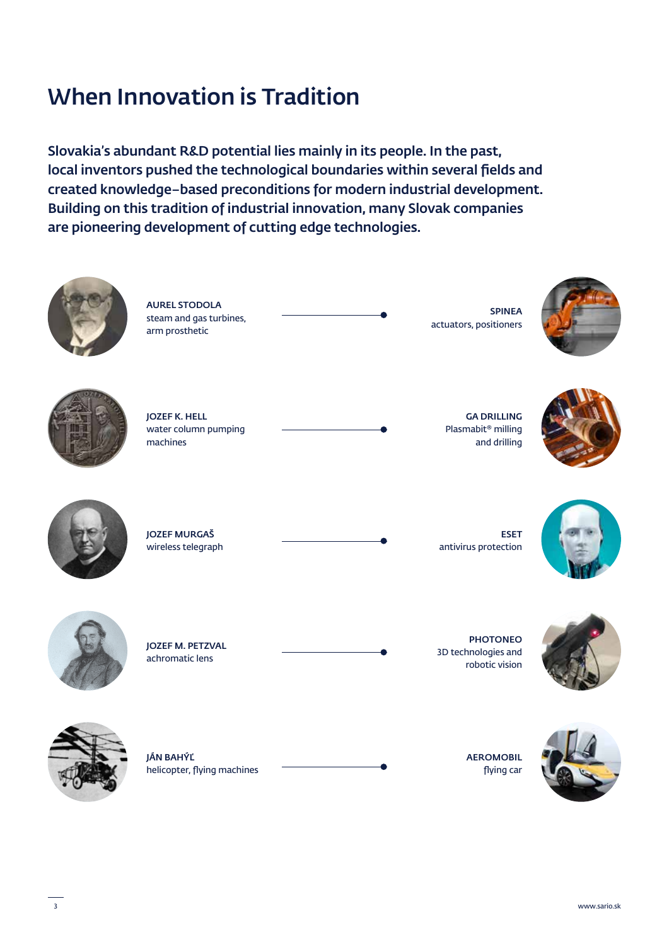# When Innovation is Tradition

Slovakia's abundant R&D potential lies mainly in its people. In the past, local inventors pushed the technological boundaries within several fields and created knowledge–based preconditions for modern industrial development. Building on this tradition of industrial innovation, many Slovak companies are pioneering development of cutting edge technologies.

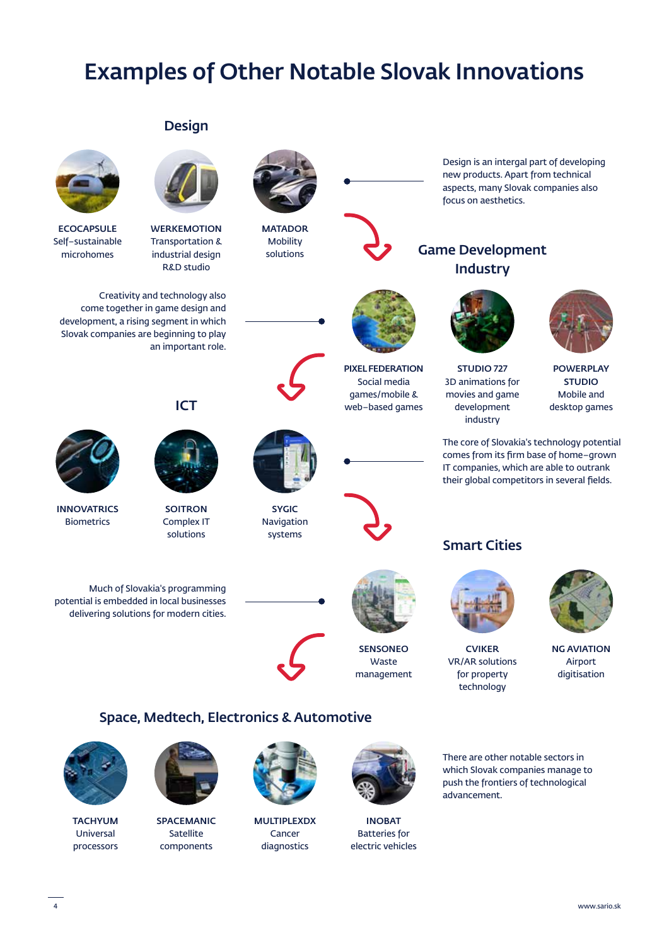# Examples of Other Notable Slovak Innovations

### **Design**



**ECOCAPSULE** Self–sustainable microhomes



**WERKEMOTION** Transportation & industrial design R&D studio

Creativity and technology also come together in game design and development, a rising segment in which Slovak companies are beginning to play an important role.



INNOVATRICS **Biometrics** 



**SOITRON** Complex IT solutions

Much of Slovakia's programming potential is embedded in local businesses delivering solutions for modern cities.



MATADOR Mobility solutions



PIXEL FEDERATION Social media games/mobile & web–based games

Design is an intergal part of developing new products. Apart from technical aspects, many Slovak companies also focus on aesthetics.

### Game Development **Industry**



STUDIO 727 3D animations for movies and game development industry



POWERPLAY STUDIO Mobile and desktop games





SYGIC Navigation systems







The core of Slovakia's technology potential comes from its firm base of home–grown IT companies, which are able to outrank their global competitors in several fields.

### Smart Cities



CVIKER VR/AR solutions for property technology



NG AVIATION Airport digitisation

### Space, Medtech, Electronics & Automotive



**TACHYUM** Universal processors



SPACEMANIC Satellite components



MULTIPLEXDX Cancer diagnostics



SENSONEO Waste management

INOBAT Batteries for electric vehicles

There are other notable sectors in which Slovak companies manage to push the frontiers of technological advancement.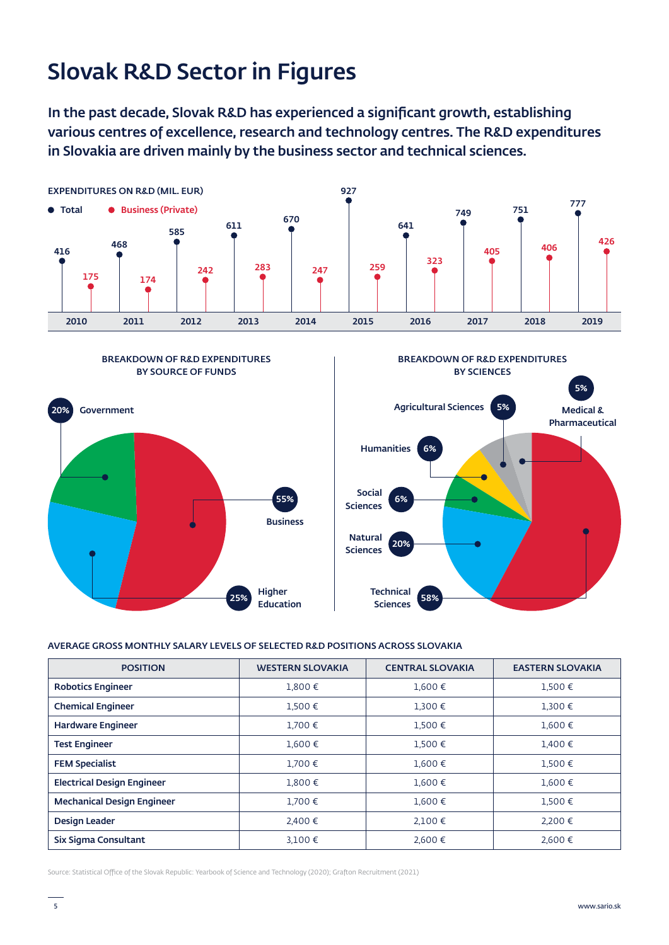# Slovak R&D Sector in Figures

In the past decade, Slovak R&D has experienced a significant growth, establishing various centres of excellence, research and technology centres. The R&D expenditures in Slovakia are driven mainly by the business sector and technical sciences.







#### AVERAGE GROSS MONTHLY SALARY LEVELS OF SELECTED R&D POSITIONS ACROSS SLOVAKIA

| <b>POSITION</b>                   | <b>WESTERN SLOVAKIA</b> | <b>CENTRAL SLOVAKIA</b> | <b>EASTERN SLOVAKIA</b> |
|-----------------------------------|-------------------------|-------------------------|-------------------------|
| <b>Robotics Engineer</b>          | 1.800€                  | 1.600€                  | 1.500€                  |
| <b>Chemical Engineer</b>          | 1,500€                  | $1,300 \in$             | 1,300€                  |
| <b>Hardware Engineer</b>          | $1.700 \in$             | 1,500€                  | $1,600 \in$             |
| <b>Test Engineer</b>              | $1.600 \in$             | 1.500€                  | 1,400€                  |
| <b>FEM Specialist</b>             | $1.700 \in$             | $1,600 \in$             | $1,500 \in$             |
| <b>Electrical Design Engineer</b> | $1,800 \in$             | 1,600€                  | $1,600 \in$             |
| <b>Mechanical Design Engineer</b> | $1.700 \in$             | $1,600 \in$             | $1,500 \in$             |
| Design Leader                     | 2.400€                  | $2,100$ €               | 2.200€                  |
| Six Sigma Consultant              | $3,100 \in$             | 2,600€                  | 2,600 €                 |

Source: Statistical Office of the Slovak Republic: Yearbook of Science and Technology (2020); Grafton Recruitment (2021)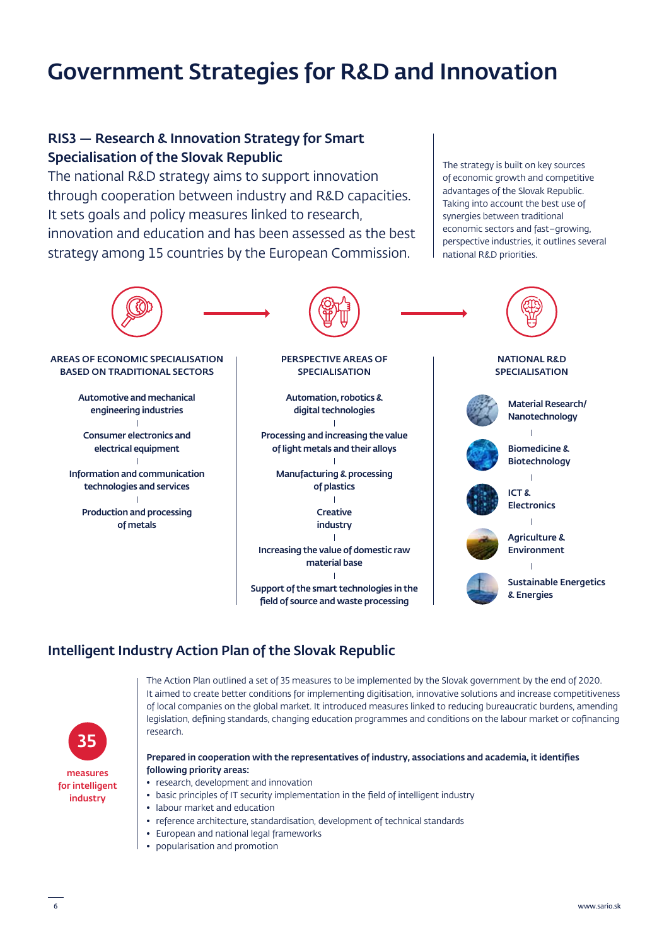# Government Strategies for R&D and Innovation

### RIS3 — Research & Innovation Strategy for Smart Specialisation of the Slovak Republic

The national R&D strategy aims to support innovation through cooperation between industry and R&D capacities. It sets goals and policy measures linked to research, innovation and education and has been assessed as the best strategy among 15 countries by the European Commission.

The strategy is built on key sources of economic growth and competitive advantages of the Slovak Republic. Taking into account the best use of synergies between traditional economic sectors and fast–growing, perspective industries, it outlines several national R&D priorities.



### Intelligent Industry Action Plan of the Slovak Republic



The Action Plan outlined a set of 35 measures to be implemented by the Slovak government by the end of 2020. It aimed to create better conditions for implementing digitisation, innovative solutions and increase competitiveness of local companies on the global market. It introduced measures linked to reducing bureaucratic burdens, amending legislation, defining standards, changing education programmes and conditions on the labour market or cofinancing research.

#### Prepared in cooperation with the representatives of industry, associations and academia, it identifies following priority areas:

- research, development and innovation
	- basic principles of IT security implementation in the field of intelligent industry
	- labour market and education
	- reference architecture, standardisation, development of technical standards
	- European and national legal frameworks
	- popularisation and promotion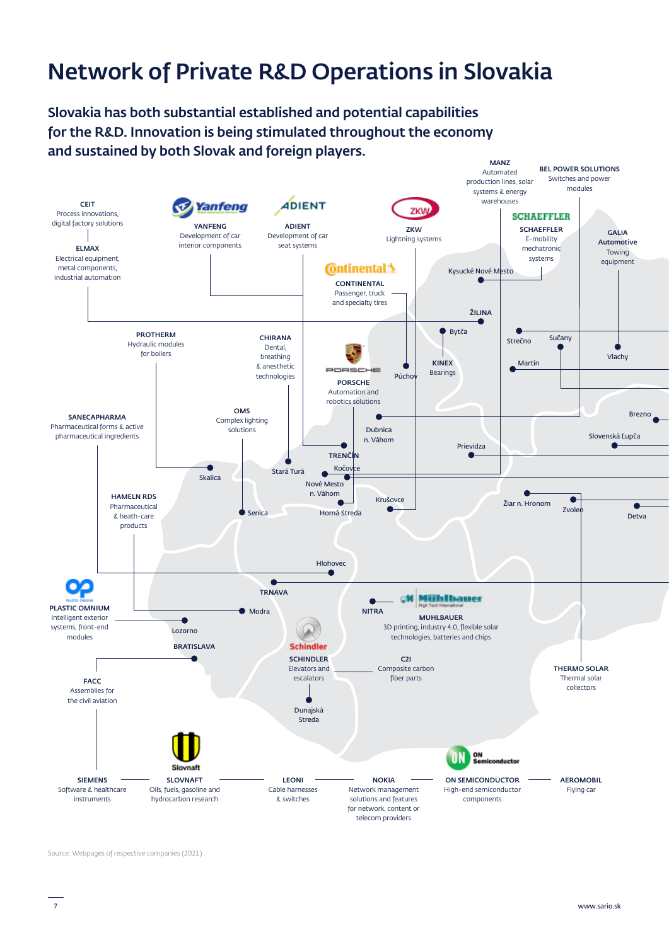# Network of Private R&D Operations in Slovakia

Slovakia has both substantial established and potential capabilities for the R&D. Innovation is being stimulated throughout the economy and sustained by both Slovak and foreign players.



Source: Webpages of respective companies (2021)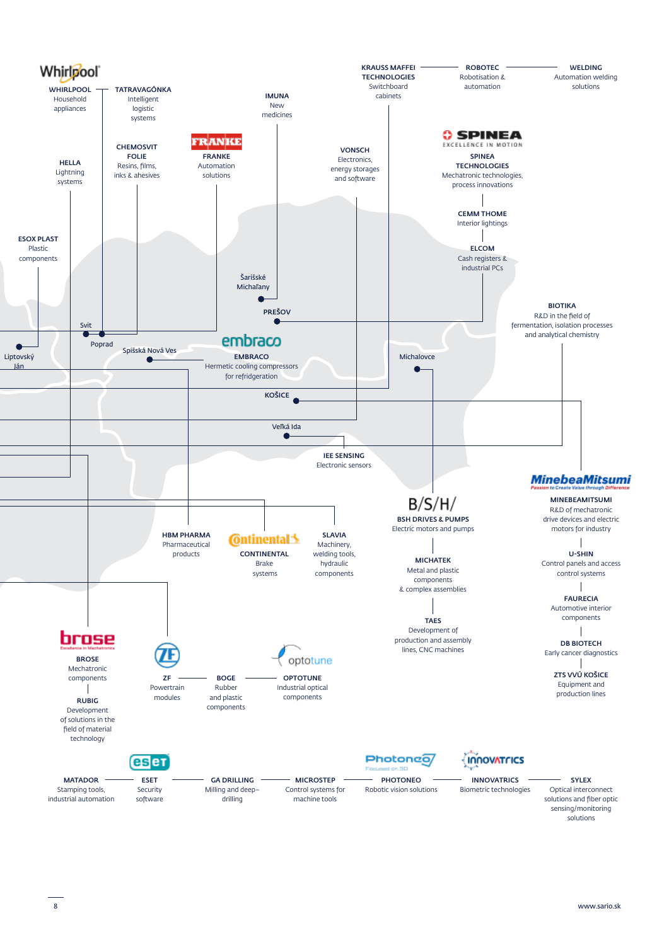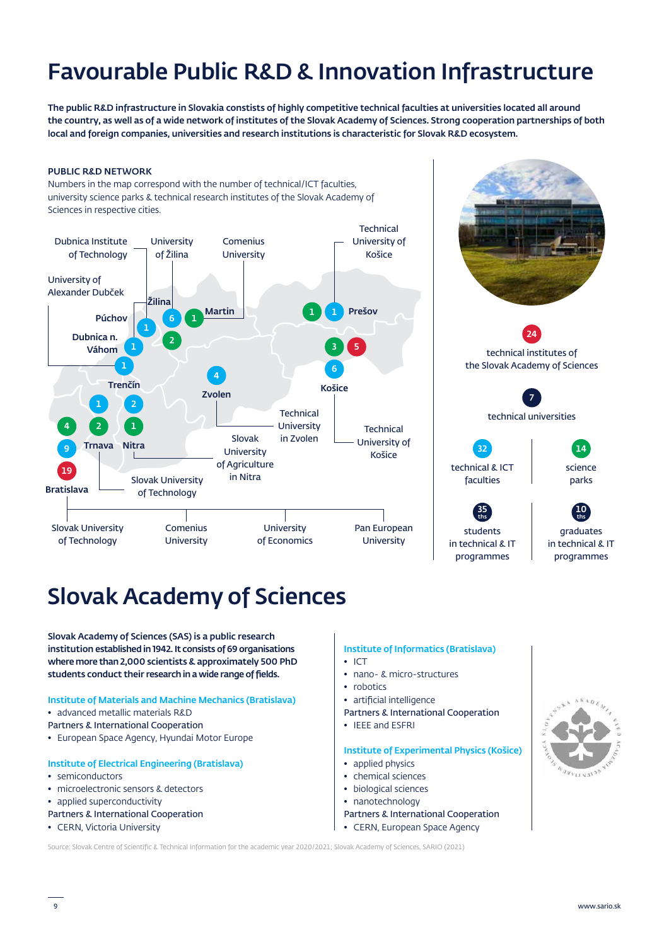# Favourable Public R&D & Innovation Infrastructure

The public R&D infrastructure in Slovakia constists of highly competitive technical faculties at universities located all around the country, as well as of a wide network of institutes of the Slovak Academy of Sciences. Strong cooperation partnerships of both local and foreign companies, universities and research institutions is characteristic for Slovak R&D ecosystem.

#### PUBLIC R&D NETWORK

Numbers in the map correspond with the number of technical/ICT faculties, university science parks & technical research institutes of the Slovak Academy of Sciences in respective cities.





# Slovak Academy of Sciences

Slovak Academy of Sciences (SAS) is a public research institution established in 1942. It consists of 69 organisations where more than 2,000 scientists & approximately 500 PhD students conduct their research in a wide range of fields.

#### Institute of Materials and Machine Mechanics (Bratislava)

- advanced metallic materials R&D
- Partners & International Cooperation
- European Space Agency, Hyundai Motor Europe

#### Institute of Electrical Engineering (Bratislava)

- semiconductors
- microelectronic sensors & detectors
- applied superconductivity
- Partners & International Cooperation
- CERN, Victoria University

### Institute of Informatics (Bratislava)

- ICT
- nano- & micro-structures
- robotics
- artificial intelligence
- Partners & International Cooperation
- IEEE and ESFRI

### Institute of Experimental Physics (Košice)

- applied physics
- chemical sciences
- biological sciences
- nanotechnology
- Partners & International Cooperation
- CERN, European Space Agency

Source: Slovak Centre of Scientific & Technical Information for the academic year 2020/2021; Slovak Academy of Sciences, SARIO (2021)

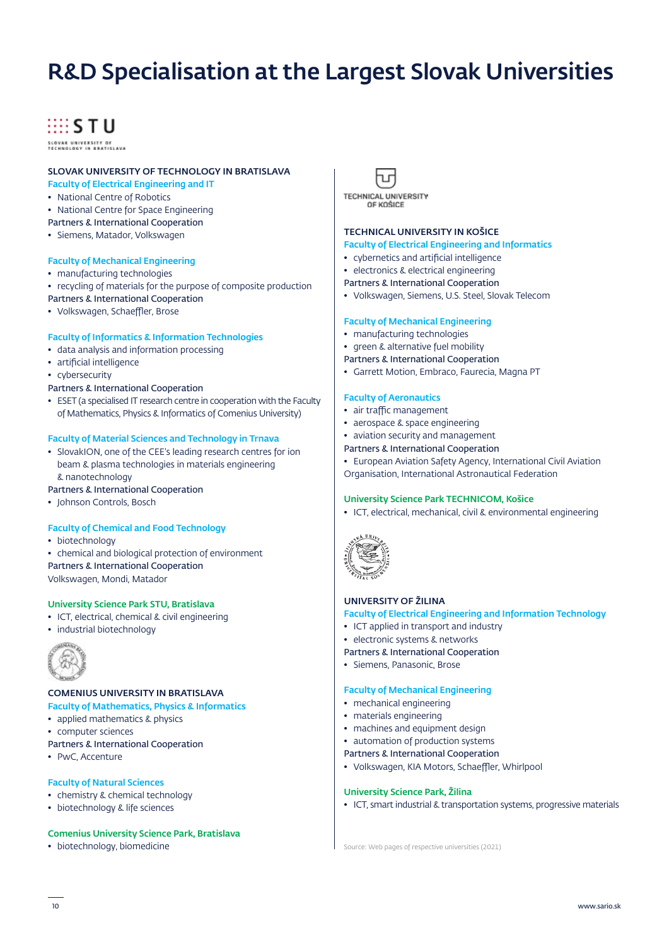# R&D Specialisation at the Largest Slovak Universities

## **HISTU**

SLOVAK UNIVERSITY OF<br>TECHNOLOGY IN BRATISLAVA

#### SLOVAK UNIVERSITY OF TECHNOLOGY IN BRATISLAVA Faculty of Electrical Engineering and IT

- National Centre of Robotics
- National Centre for Space Engineering
- Partners & International Cooperation
- Siemens, Matador, Volkswagen

#### Faculty of Mechanical Engineering

- manufacturing technologies
- recycling of materials for the purpose of composite production
- Partners & International Cooperation
- Volkswagen, Schaeffler, Brose

#### Faculty of Informatics & Information Technologies

- data analysis and information processing
- artificial intelligence

• cybersecurity

- Partners & International Cooperation
- ESET (a specialised IT research centre in cooperation with the Faculty of Mathematics, Physics & Informatics of Comenius University)

#### Faculty of Material Sciences and Technology in Trnava

- SlovakION, one of the CEE's leading research centres for ion beam & plasma technologies in materials engineering & nanotechnology
- Partners & International Cooperation
- Johnson Controls, Bosch

#### Faculty of Chemical and Food Technology

- biotechnology
- chemical and biological protection of environment

Partners & International Cooperation Volkswagen, Mondi, Matador

#### University Science Park STU, Bratislava

- ICT, electrical, chemical & civil engineering
- industrial biotechnology



#### COMENIUS UNIVERSITY IN BRATISLAVA

- Faculty of Mathematics, Physics & Informatics
- applied mathematics & physics
- computer sciences
- Partners & International Cooperation
- PwC, Accenture

#### Faculty of Natural Sciences

- chemistry & chemical technology
- biotechnology & life sciences

#### Comenius University Science Park, Bratislava



#### **TECHNICAL UNIVERSITY OF KOŠICE**

#### TECHNICAL UNIVERSITY IN KOŠICE

#### Faculty of Electrical Engineering and Informatics

- cybernetics and artificial intelligence
- electronics & electrical engineering
- Partners & International Cooperation
- Volkswagen, Siemens, U.S. Steel, Slovak Telecom

#### Faculty of Mechanical Engineering

- manufacturing technologies
- green & alternative fuel mobility
- Partners & International Cooperation
- Garrett Motion, Embraco, Faurecia, Magna PT

#### Faculty of Aeronautics

- air traffic management
- aerospace & space engineering
- aviation security and management
- Partners & International Cooperation
- European Aviation Safety Agency, International Civil Aviation Organisation, International Astronautical Federation

#### University Science Park TECHNICOM, Košice

• ICT, electrical, mechanical, civil & environmental engineering



#### UNIVERSITY OF ŽILINA

#### Faculty of Electrical Engineering and Information Technology

- ICT applied in transport and industry
- electronic systems & networks
- Partners & International Cooperation
- Siemens, Panasonic, Brose

#### Faculty of Mechanical Engineering

- mechanical engineering
- materials engineering
- machines and equipment design
- automation of production systems

Partners & International Cooperation

• Volkswagen, KIA Motors, Schaeffler, Whirlpool

#### University Science Park, Žilina

• ICT, smart industrial & transportation systems, progressive materials

• biotechnology, biomedicine Source: Web pages of respective universities (2021)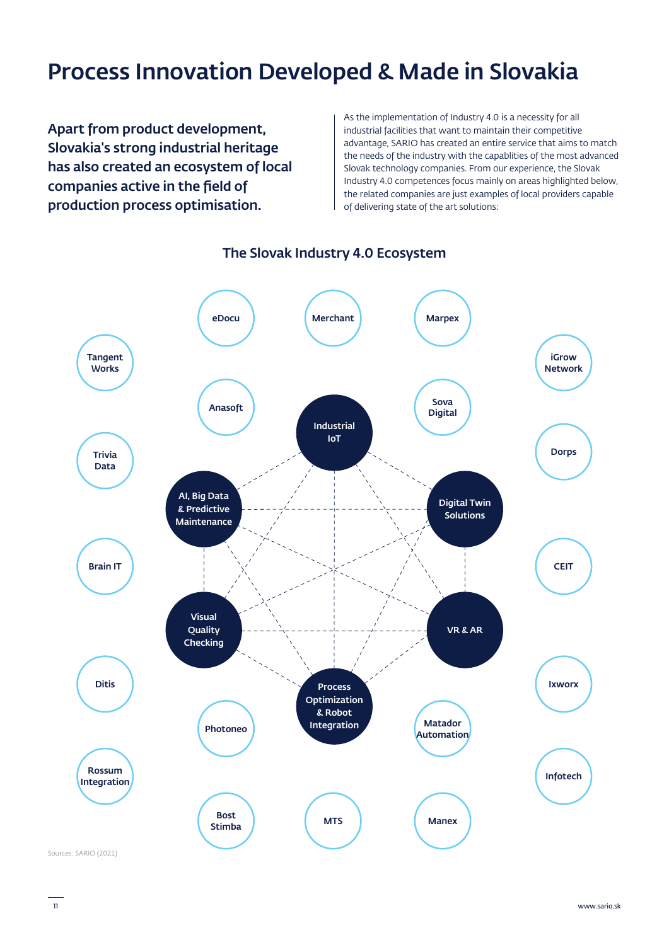# Process Innovation Developed & Made in Slovakia

Apart from product development, Slovakia's strong industrial heritage has also created an ecosystem of local companies active in the field of production process optimisation.

As the implementation of Industry 4.0 is a necessity for all industrial facilities that want to maintain their competitive advantage, SARIO has created an entire service that aims to match the needs of the industry with the capablities of the most advanced Slovak technology companies. From our experience, the Slovak Industry 4.0 competences focus mainly on areas highlighted below, the related companies are just examples of local providers capable of delivering state of the art solutions:



### The Slovak Industry 4.0 Ecosystem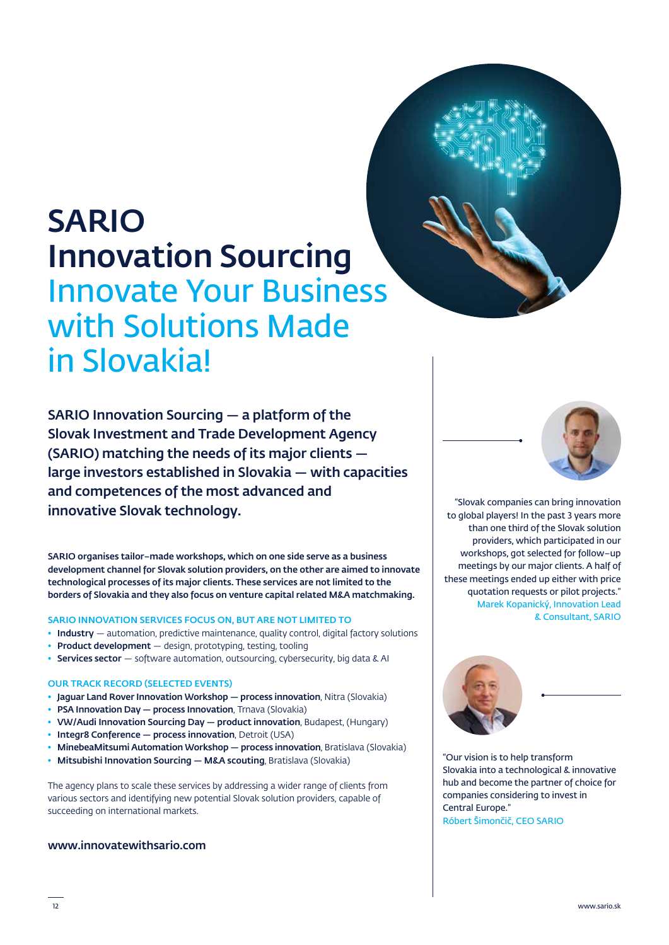# SARIO Innovation Sourcing Innovate Your Business with Solutions Made in Slovakia!

SARIO Innovation Sourcing — a platform of the Slovak Investment and Trade Development Agency (SARIO) matching the needs of its major clients large investors established in Slovakia — with capacities and competences of the most advanced and innovative Slovak technology.

SARIO organises tailor–made workshops, which on one side serve as a business development channel for Slovak solution providers, on the other are aimed to innovate technological processes of its major clients. These services are not limited to the borders of Slovakia and they also focus on venture capital related M&A matchmaking.

#### SARIO INNOVATION SERVICES FOCUS ON, BUT ARE NOT LIMITED TO

- Industry automation, predictive maintenance, quality control, digital factory solutions
- Product development design, prototyping, testing, tooling
- Services sector software automation, outsourcing, cybersecurity, big data & AI

#### OUR TRACK RECORD (SELECTED EVENTS)

- Jaguar Land Rover Innovation Workshop process innovation, Nitra (Slovakia)
- PSA Innovation Day process Innovation, Trnava (Slovakia)
- VW/Audi Innovation Sourcing Day product innovation, Budapest, (Hungary)
- Integr8 Conference process innovation, Detroit (USA)
- MinebeaMitsumi Automation Workshop process innovation, Bratislava (Slovakia)
- Mitsubishi Innovation Sourcing M&A scouting, Bratislava (Slovakia)

The agency plans to scale these services by addressing a wider range of clients from various sectors and identifying new potential Slovak solution providers, capable of succeeding on international markets.

#### www.innovatewithsario.com





"Slovak companies can bring innovation to global players! In the past 3 years more than one third of the Slovak solution providers, which participated in our workshops, got selected for follow–up meetings by our major clients. A half of these meetings ended up either with price quotation requests or pilot projects." Marek Kopanický, Innovation Lead & Consultant, SARIO



"Our vision is to help transform Slovakia into a technological & innovative hub and become the partner of choice for companies considering to invest in Central Europe."

Róbert Šimončič, CEO SARIO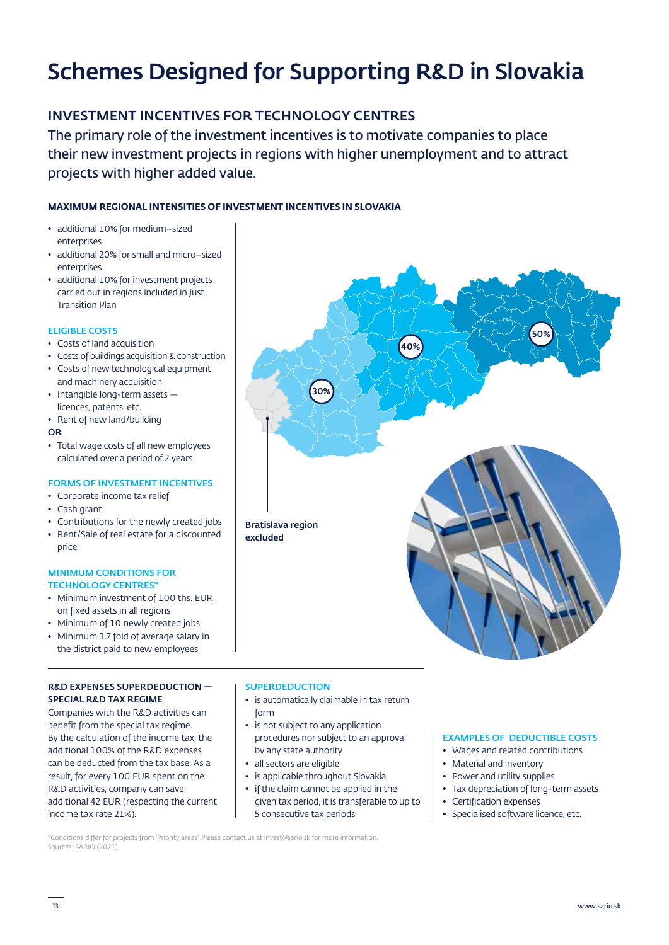# Schemes Designed for Supporting R&D in Slovakia

### INVESTMENT INCENTIVES FOR TECHNOLOGY CENTRES

The primary role of the investment incentives is to motivate companies to place their new investment projects in regions with higher unemployment and to attract projects with higher added value.

#### **MAXIMUM REGIONAL INTENSITIES OF INVESTMENT INCENTIVES IN SLOVAKIA**

- additional 10% for medium–sized enterprises
- additional 20% for small and micro–sized enterprises
- additional 10% for investment projects carried out in regions included in Just Transition Plan

#### ELIGIBLE COSTS

- Costs of land acquisition
- Costs of buildings acquisition & construction
- Costs of new technological equipment and machinery acquisition
- Intangible long-term assets licences, patents, etc.
- Rent of new land/building
- OR
- Total wage costs of all new employees calculated over a period of 2 years

#### FORMS OF INVESTMENT INCENTIVES

- Corporate income tax relief
- Cash grant

price

• Contributions for the newly created jobs • Rent/Sale of real estate for a discounted

#### MINIMUM CONDITIONS FOR TECHNOLOGY CENTRES\*

- Minimum investment of 100 ths. EUR on fixed assets in all regions
- Minimum of 10 newly created jobs
- Minimum 1.7 fold of average salary in the district paid to new employees

#### R&D EXPENSES SUPERDEDUCTION — SPECIAL R&D TAX REGIME

Companies with the R&D activities can benefit from the special tax regime. By the calculation of the income tax, the additional 100% of the R&D expenses can be deducted from the tax base. As a result, for every 100 EUR spent on the R&D activities, company can save additional 42 EUR (respecting the current income tax rate 21%).



#### **SUPERDEDUCTION**

- is automatically claimable in tax return form
- is not subject to any application procedures nor subject to an approval by any state authority
- all sectors are eligible
- is applicable throughout Slovakia
- if the claim cannot be applied in the given tax period, it is transferable to up to 5 consecutive tax periods

#### EXAMPLES OF DEDUCTIBLE COSTS

- Wages and related contributions
- Material and inventory
- Power and utility supplies
- Tax depreciation of long-term assets
- Certification expenses
- Specialised software licence, etc.

\*Conditions differ for projects from 'Priority areas'. Please contact us at invest@sario.sk for more information. Sources: SARIO (2021)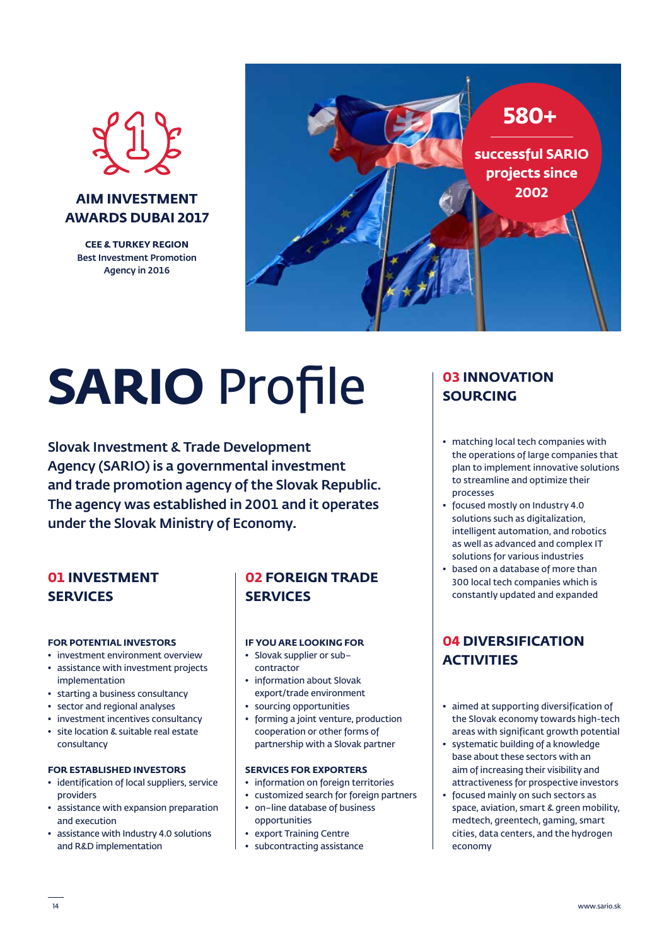

### **AIM INVESTMENT AWARDS DUBAI 2017**

**CEE & TURKEY REGION** Best Investment Promotion Agency in 2016



# **SARIO** Profile

Slovak Investment & Trade Development Agency (SARIO) is a governmental investment and trade promotion agency of the Slovak Republic. The agency was established in 2001 and it operates under the Slovak Ministry of Economy.

## **01 INVESTMENT SERVICES**

#### **FOR POTENTIAL INVESTORS**

- investment environment overview
- assistance with investment projects implementation
- starting a business consultancy
- sector and regional analyses
- investment incentives consultancy
- site location & suitable real estate consultancy

#### **FOR ESTABLISHED INVESTORS**

- identification of local suppliers, service providers
- assistance with expansion preparation and execution
- assistance with Industry 4.0 solutions and R&D implementation

## **02 FOREIGN TRADE SERVICES**

#### **IF YOU ARE LOOKING FOR**

- Slovak supplier or sub– contractor
- information about Slovak export/trade environment
- sourcing opportunities
- forming a joint venture, production cooperation or other forms of partnership with a Slovak partner

#### **SERVICES FOR EXPORTERS**

- information on foreign territories
- customized search for foreign partners
- on–line database of business opportunities
- export Training Centre
- subcontracting assistance

### **03 INNOVATION SOURCING**

- matching local tech companies with the operations of large companies that plan to implement innovative solutions to streamline and optimize their processes
- focused mostly on Industry 4.0 solutions such as digitalization, intelligent automation, and robotics as well as advanced and complex IT solutions for various industries
- based on a database of more than 300 local tech companies which is constantly updated and expanded

## **04 DIVERSIFICATION ACTIVITIES**

- aimed at supporting diversification of the Slovak economy towards high-tech areas with significant growth potential
- systematic building of a knowledge base about these sectors with an aim of increasing their visibility and attractiveness for prospective investors
- focused mainly on such sectors as space, aviation, smart & green mobility, medtech, greentech, gaming, smart cities, data centers, and the hydrogen economy